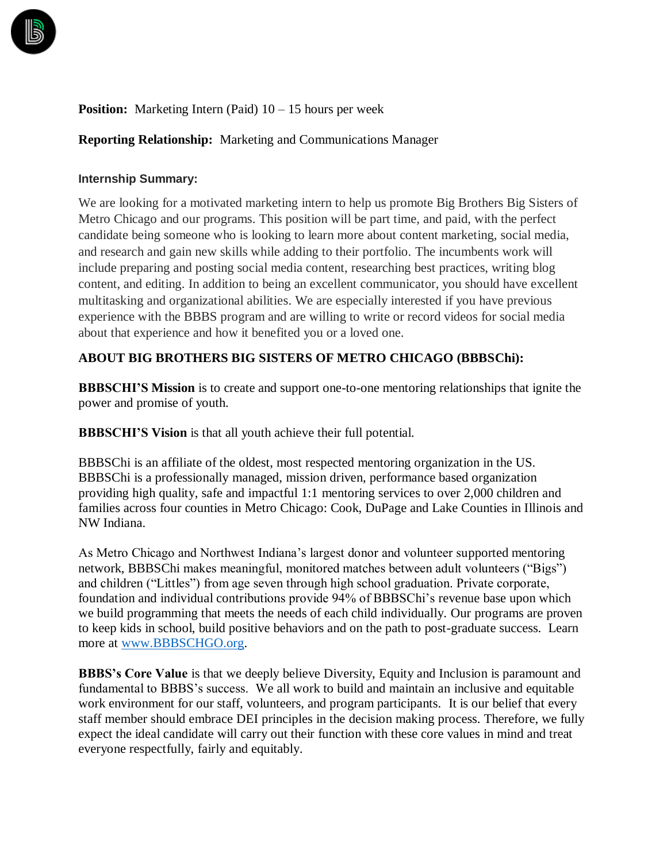

## **Position:** Marketing Intern (Paid)  $10 - 15$  hours per week

### **Reporting Relationship:** Marketing and Communications Manager

#### **Internship Summary:**

We are looking for a motivated marketing intern to help us promote Big Brothers Big Sisters of Metro Chicago and our programs. This position will be part time, and paid, with the perfect candidate being someone who is looking to learn more about content marketing, social media, and research and gain new skills while adding to their portfolio. The incumbents work will include preparing and posting social media content, researching best practices, writing blog content, and editing. In addition to being an excellent communicator, you should have excellent multitasking and organizational abilities. We are especially interested if you have previous experience with the BBBS program and are willing to write or record videos for social media about that experience and how it benefited you or a loved one.

### **ABOUT BIG BROTHERS BIG SISTERS OF METRO CHICAGO (BBBSChi):**

**BBBSCHI'S Mission** is to create and support one-to-one mentoring relationships that ignite the power and promise of youth.

**BBBSCHI'S Vision** is that all youth achieve their full potential.

BBBSChi is an affiliate of the oldest, most respected mentoring organization in the US. BBBSChi is a professionally managed, mission driven, performance based organization providing high quality, safe and impactful 1:1 mentoring services to over 2,000 children and families across four counties in Metro Chicago: Cook, DuPage and Lake Counties in Illinois and NW Indiana.

As Metro Chicago and Northwest Indiana's largest donor and volunteer supported mentoring network, BBBSChi makes meaningful, monitored matches between adult volunteers ("Bigs") and children ("Littles") from age seven through high school graduation. Private corporate, foundation and individual contributions provide 94% of BBBSChi's revenue base upon which we build programming that meets the needs of each child individually. Our programs are proven to keep kids in school, build positive behaviors and on the path to post-graduate success. Learn more at [www.BBBSCHGO.org.](http://www.bbbschgo.org/)

**BBBS's Core Value** is that we deeply believe Diversity, Equity and Inclusion is paramount and fundamental to BBBS's success. We all work to build and maintain an inclusive and equitable work environment for our staff, volunteers, and program participants. It is our belief that every staff member should embrace DEI principles in the decision making process. Therefore, we fully expect the ideal candidate will carry out their function with these core values in mind and treat everyone respectfully, fairly and equitably.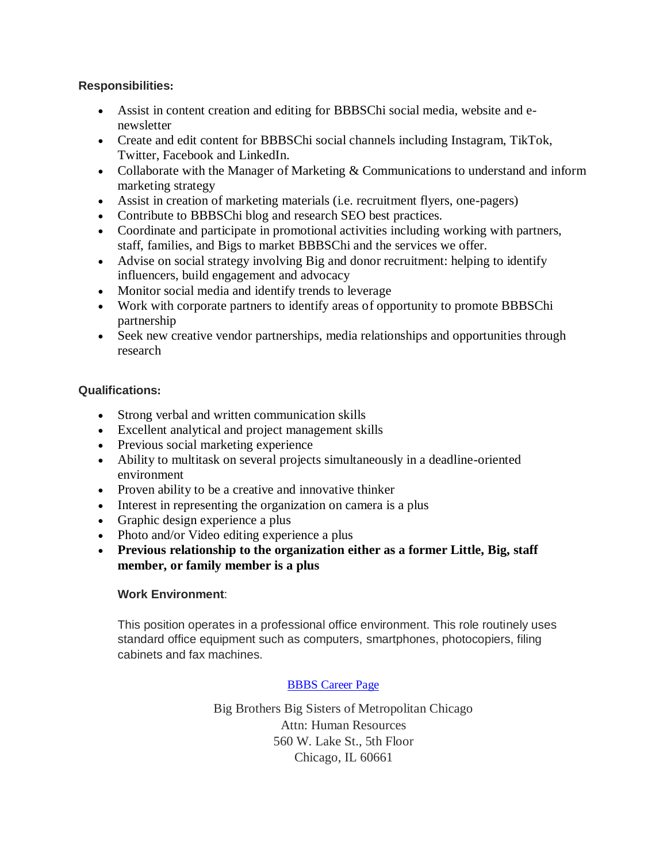## **Responsibilities:**

- Assist in content creation and editing for BBBSChi social media, website and enewsletter
- Create and edit content for BBBSChi social channels including Instagram, TikTok, Twitter, Facebook and LinkedIn.
- Collaborate with the Manager of Marketing  $&$  Communications to understand and inform marketing strategy
- Assist in creation of marketing materials (i.e. recruitment flyers, one-pagers)
- Contribute to BBBSChi blog and research SEO best practices.
- Coordinate and participate in promotional activities including working with partners, staff, families, and Bigs to market BBBSChi and the services we offer.
- Advise on social strategy involving Big and donor recruitment: helping to identify influencers, build engagement and advocacy
- Monitor social media and identify trends to leverage
- Work with corporate partners to identify areas of opportunity to promote BBBSChi partnership
- Seek new creative vendor partnerships, media relationships and opportunities through research

### **Qualifications:**

- Strong verbal and written communication skills
- Excellent analytical and project management skills
- Previous social marketing experience
- Ability to multitask on several projects simultaneously in a deadline-oriented environment
- Proven ability to be a creative and innovative thinker
- Interest in representing the organization on camera is a plus
- Graphic design experience a plus
- Photo and/or Video editing experience a plus
- **Previous relationship to the organization either as a former Little, Big, staff member, or family member is a plus**

# **Work Environment**:

This position operates in a professional office environment. This role routinely uses standard office equipment such as computers, smartphones, photocopiers, filing cabinets and fax machines.

# [BBBS Career Page](https://www.cbizems.com/extranet/recruiting.aspx?id=d4f04178-356d-428d-8b78-813b34a15de6)

Big Brothers Big Sisters of Metropolitan Chicago Attn: Human Resources 560 W. Lake St., 5th Floor Chicago, IL 60661